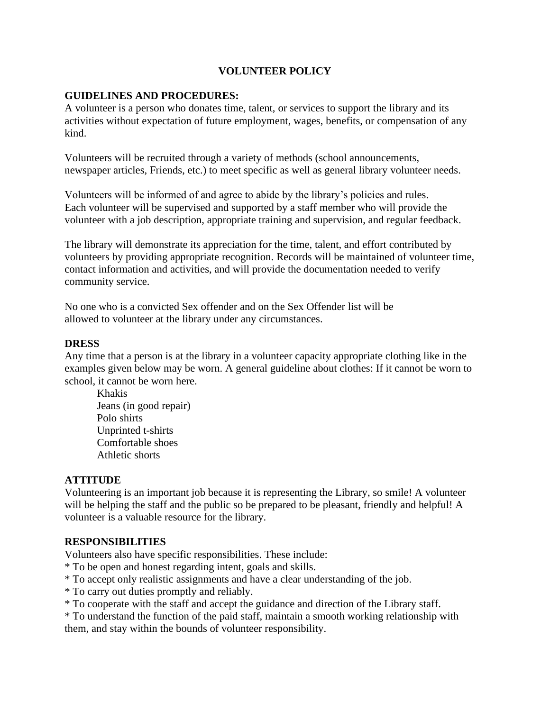## **VOLUNTEER POLICY**

### **GUIDELINES AND PROCEDURES:**

A volunteer is a person who donates time, talent, or services to support the library and its activities without expectation of future employment, wages, benefits, or compensation of any kind.

Volunteers will be recruited through a variety of methods (school announcements, newspaper articles, Friends, etc.) to meet specific as well as general library volunteer needs.

Volunteers will be informed of and agree to abide by the library's policies and rules. Each volunteer will be supervised and supported by a staff member who will provide the volunteer with a job description, appropriate training and supervision, and regular feedback.

The library will demonstrate its appreciation for the time, talent, and effort contributed by volunteers by providing appropriate recognition. Records will be maintained of volunteer time, contact information and activities, and will provide the documentation needed to verify community service.

No one who is a convicted Sex offender and on the Sex Offender list will be allowed to volunteer at the library under any circumstances.

#### **DRESS**

Any time that a person is at the library in a volunteer capacity appropriate clothing like in the examples given below may be worn. A general guideline about clothes: If it cannot be worn to school, it cannot be worn here.

Khakis Jeans (in good repair) Polo shirts Unprinted t-shirts Comfortable shoes Athletic shorts

#### **ATTITUDE**

Volunteering is an important job because it is representing the Library, so smile! A volunteer will be helping the staff and the public so be prepared to be pleasant, friendly and helpful! A volunteer is a valuable resource for the library.

## **RESPONSIBILITIES**

Volunteers also have specific responsibilities. These include:

- \* To be open and honest regarding intent, goals and skills.
- \* To accept only realistic assignments and have a clear understanding of the job.
- \* To carry out duties promptly and reliably.
- \* To cooperate with the staff and accept the guidance and direction of the Library staff.

\* To understand the function of the paid staff, maintain a smooth working relationship with them, and stay within the bounds of volunteer responsibility.